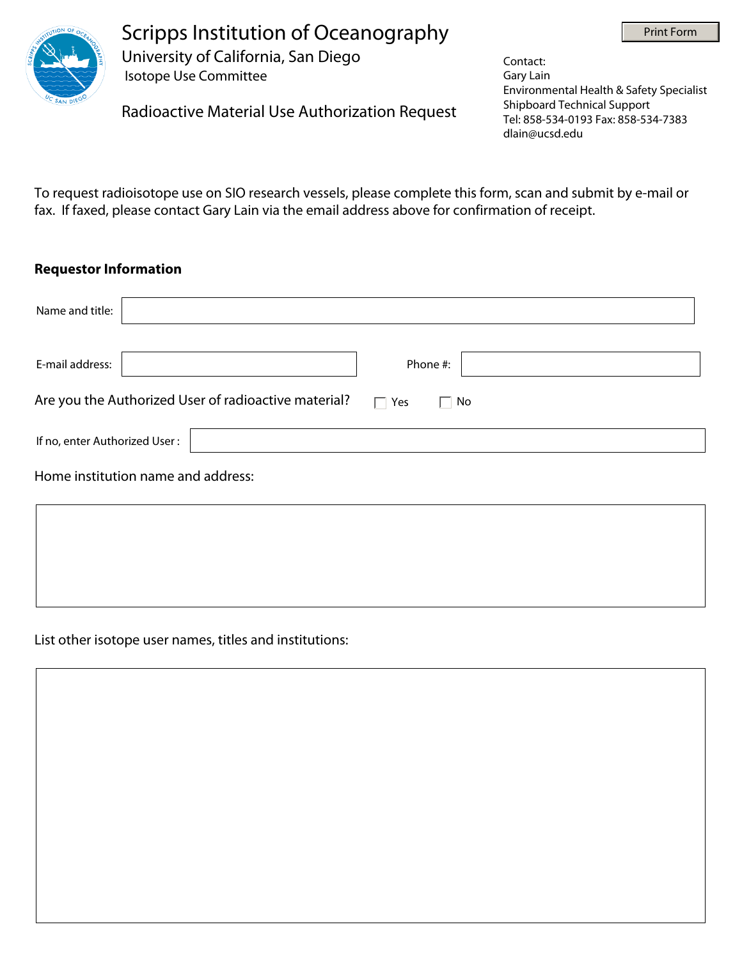



Scripps Institution of Oceanography University of California, San Diego

Isotope Use Committee

Radioactive Material Use Authorization Request

Contact: Gary Lain Environmental Health & Safety Specialist Shipboard Technical Support Tel: 858-534-0193 Fax: 858-534-7383 dlain@ucsd.edu

To request radioisotope use on SIO research vessels, please complete this form, scan and submit by e-mail or fax. If faxed, please contact Gary Lain via the email address above for confirmation of receipt.

## **Requestor Information**

| Name and title:                                      |                                  |
|------------------------------------------------------|----------------------------------|
| E-mail address:                                      | Phone #:                         |
| Are you the Authorized User of radioactive material? | Yes<br>$\Box$ No<br>$\mathbf{L}$ |
| If no, enter Authorized User:                        |                                  |
| Home institution name and address:                   |                                  |
|                                                      |                                  |
|                                                      |                                  |
|                                                      |                                  |

List other isotope user names, titles and institutions: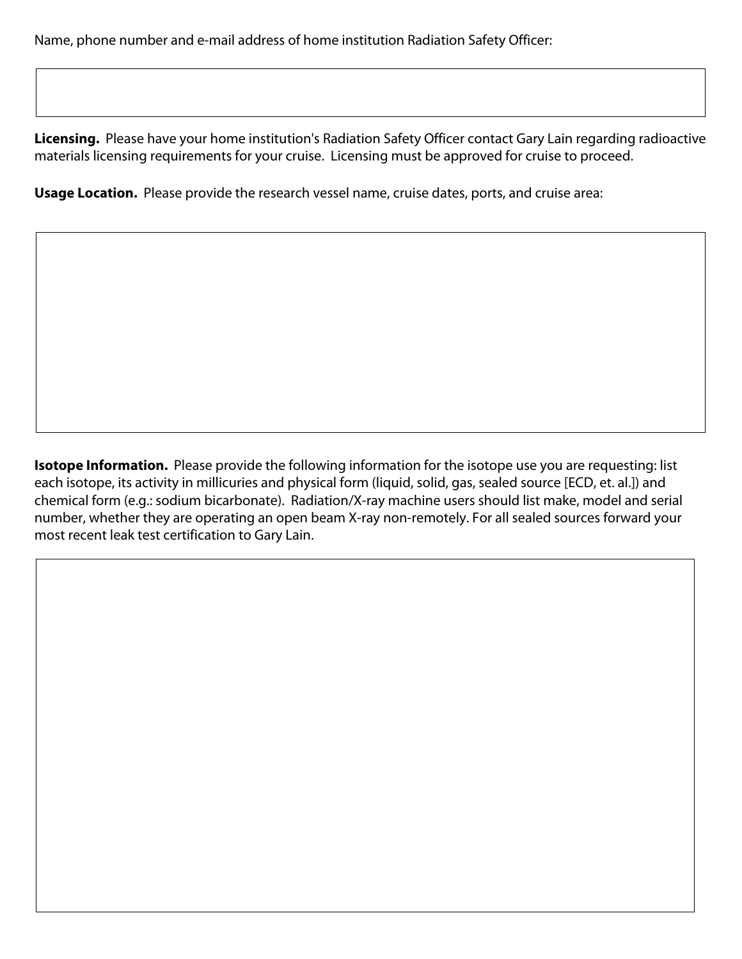Name, phone number and e-mail address of home institution Radiation Safety Officer:

**Licensing.** Please have your home institution's Radiation Safety Officer contact Gary Lain regarding radioactive materials licensing requirements for your cruise. Licensing must be approved for cruise to proceed.

**Usage Location.** Please provide the research vessel name, cruise dates, ports, and cruise area:

**Isotope Information.** Please provide the following information for the isotope use you are requesting: list each isotope, its activity in millicuries and physical form (liquid, solid, gas, sealed source [ECD, et. al.]) and chemical form (e.g.: sodium bicarbonate). Radiation/X-ray machine users should list make, model and serial number, whether they are operating an open beam X-ray non-remotely. For all sealed sources forward your most recent leak test certification to Gary Lain.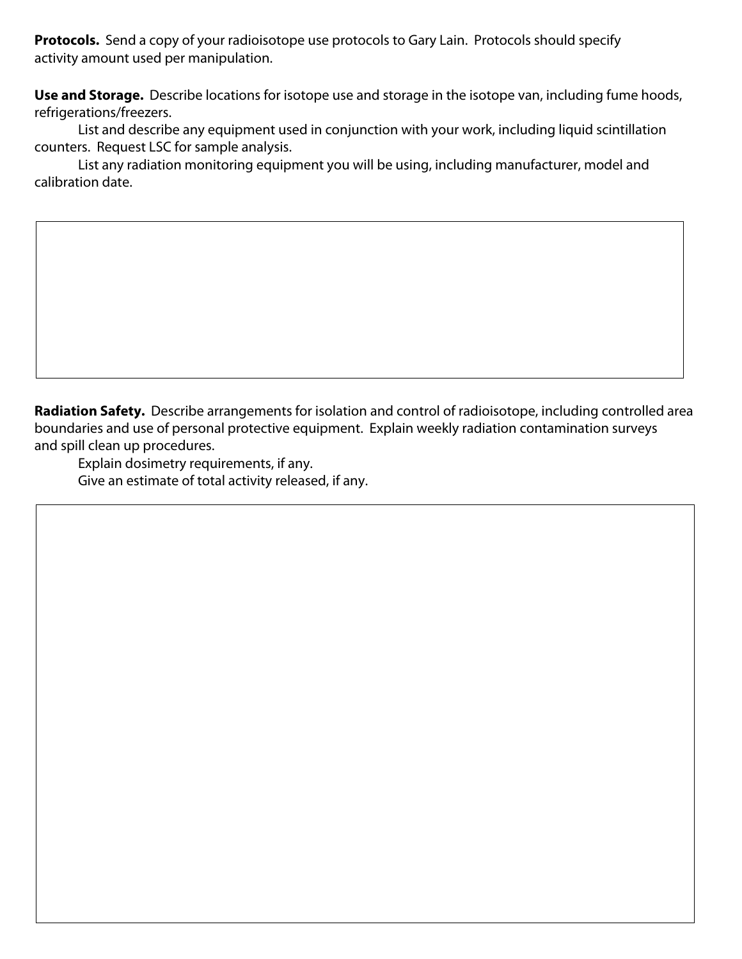**Protocols.** Send a copy of your radioisotope use protocols to Gary Lain. Protocols should specify activity amount used per manipulation.

**Use and Storage.** Describe locations for isotope use and storage in the isotope van, including fume hoods, refrigerations/freezers.

List and describe any equipment used in conjunction with your work, including liquid scintillation counters. Request LSC for sample analysis.

List any radiation monitoring equipment you will be using, including manufacturer, model and calibration date.

**Radiation Safety.** Describe arrangements for isolation and control of radioisotope, including controlled area boundaries and use of personal protective equipment. Explain weekly radiation contamination surveys and spill clean up procedures.

Explain dosimetry requirements, if any. Give an estimate of total activity released, if any.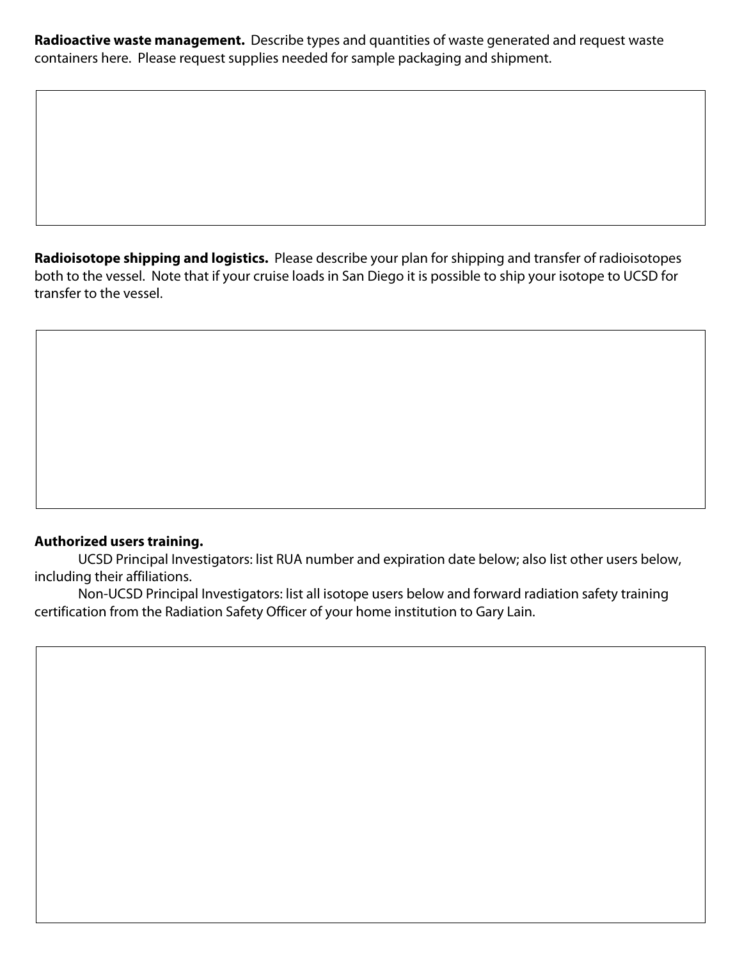**Radioactive waste management.** Describe types and quantities of waste generated and request waste containers here. Please request supplies needed for sample packaging and shipment.

**Radioisotope shipping and logistics.** Please describe your plan for shipping and transfer of radioisotopes both to the vessel. Note that if your cruise loads in San Diego it is possible to ship your isotope to UCSD for transfer to the vessel.

## **Authorized users training.**

UCSD Principal Investigators: list RUA number and expiration date below; also list other users below, including their affiliations.

Non-UCSD Principal Investigators: list all isotope users below and forward radiation safety training certification from the Radiation Safety Officer of your home institution to Gary Lain.